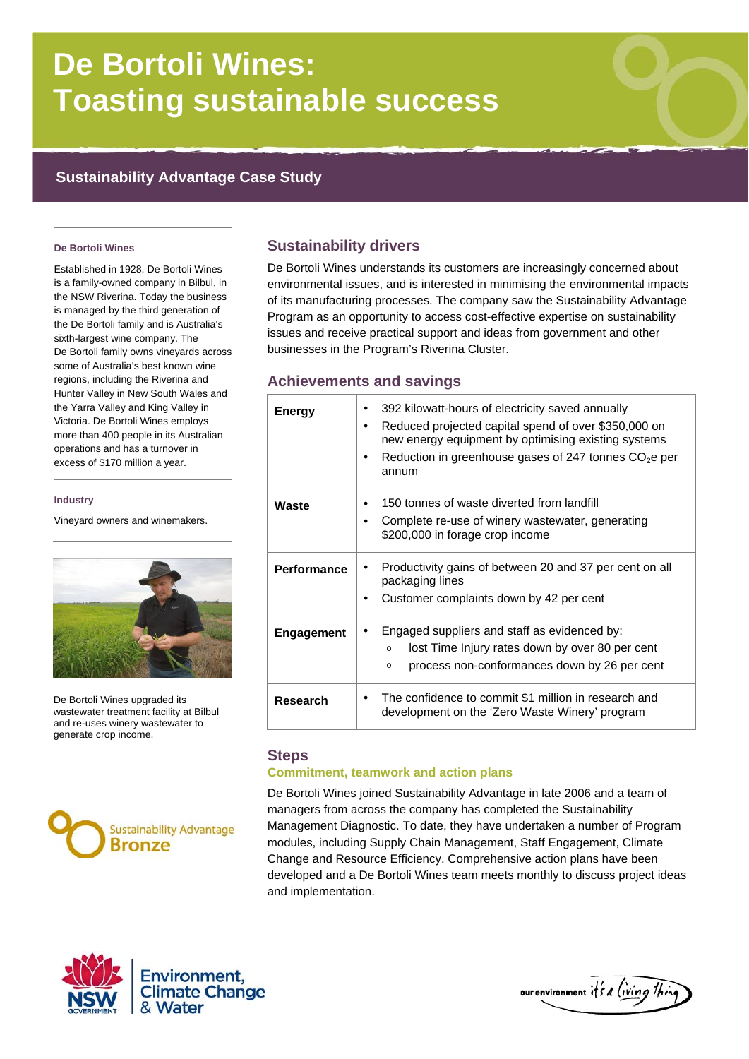# **De Bortoli Wines: Toasting sustainable success**

## **Sustainability Advantage Case Study**

#### **De Bortoli Wines**

Established in 1928, De Bortoli Wines is a family-owned company in Bilbul, in the NSW Riverina. Today the business is managed by the third generation of the De Bortoli family and is Australia's sixth-largest wine company. The De Bortoli family owns vineyards across some of Australia's best known wine regions, including the Riverina and Hunter Valley in New South Wales and the Yarra Valley and King Valley in Victoria. De Bortoli Wines employs more than 400 people in its Australian operations and has a turnover in excess of \$170 million a year.

#### **Industry**

Vineyard owners and winemakers.



De Bortoli Wines upgraded its wastewater treatment facility at Bilbul and re-uses winery wastewater to generate crop income.



## **Sustainability drivers**

De Bortoli Wines understands its customers are increasingly concerned about environmental issues, and is interested in minimising the environmental impacts of its manufacturing processes. The company saw the Sustainability Advantage Program as an opportunity to access cost-effective expertise on sustainability issues and receive practical support and ideas from government and other businesses in the Program's Riverina Cluster.

## **Achievements and savings**

| <b>Energy</b>      | 392 kilowatt-hours of electricity saved annually<br>Reduced projected capital spend of over \$350,000 on<br>new energy equipment by optimising existing systems<br>Reduction in greenhouse gases of 247 tonnes $CO2e$ per<br>٠<br>annum |
|--------------------|-----------------------------------------------------------------------------------------------------------------------------------------------------------------------------------------------------------------------------------------|
| Waste              | 150 tonnes of waste diverted from landfill<br>Complete re-use of winery wastewater, generating<br>٠<br>\$200,000 in forage crop income                                                                                                  |
| <b>Performance</b> | Productivity gains of between 20 and 37 per cent on all<br>packaging lines<br>Customer complaints down by 42 per cent                                                                                                                   |
| <b>Engagement</b>  | Engaged suppliers and staff as evidenced by:<br>lost Time Injury rates down by over 80 per cent<br>$\circ$<br>process non-conformances down by 26 per cent<br>$\circ$                                                                   |
| <b>Research</b>    | The confidence to commit \$1 million in research and<br>٠<br>development on the 'Zero Waste Winery' program                                                                                                                             |

#### **Steps**

#### **Commitment, teamwork and action plans**

De Bortoli Wines joined Sustainability Advantage in late 2006 and a team of managers from across the company has completed the Sustainability Management Diagnostic. To date, they have undertaken a number of Program modules, including Supply Chain Management, Staff Engagement, Climate Change and Resource Efficiency. Comprehensive action plans have been developed and a De Bortoli Wines team meets monthly to discuss project ideas and implementation.



our environment it's a living thing